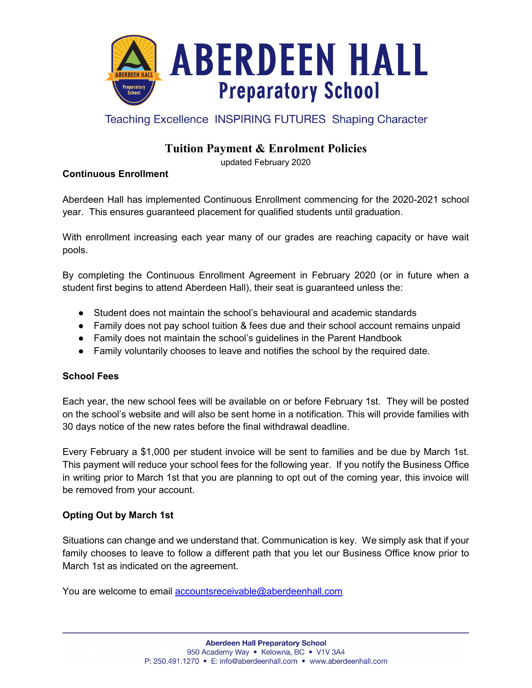

## **Teaching Excellence INSPIRING FUTURES Shaping Character**

# **Tuition Payment & Enrolment Policies**

updated February 2020

## **Continuous Enrollment**

Aberdeen Hall has implemented Continuous Enrollment commencing for the 2020-2021 school year. This ensures guaranteed placement for qualified students until graduation.

With enrollment increasing each year many of our grades are reaching capacity or have wait pools.

By completing the Continuous Enrollment Agreement in February 2020 (or in future when a student first begins to attend Aberdeen Hall), their seat is guaranteed unless the:

- Student does not maintain the school's behavioural and academic standards
- Family does not pay school tuition & fees due and their school account remains unpaid
- Family does not maintain the school's guidelines in the Parent Handbook
- Family voluntarily chooses to leave and notifies the school by the required date.

#### **School Fees**

Each year, the new school fees will be available on or before February 1st. They will be posted on the school's website and will also be sent home in a notification. This will provide families with 30 days notice of the new rates before the final withdrawal deadline.

Every February a \$1,000 per student invoice will be sent to families and be due by March 1st. This payment will reduce your school fees for the following year. If you notify the Business Office in writing prior to March 1st that you are planning to opt out of the coming year, this invoice will be removed from your account.

## **Opting Out by March 1st**

Situations can change and we understand that. Communication is key. We simply ask that if your family chooses to leave to follow a different path that you let our Business Office know prior to March 1st as indicated on the agreement.

You are welcome to email [accountsreceivable@aberdeenhall.com](mailto:accountsreceivable@aberdeenhall.com)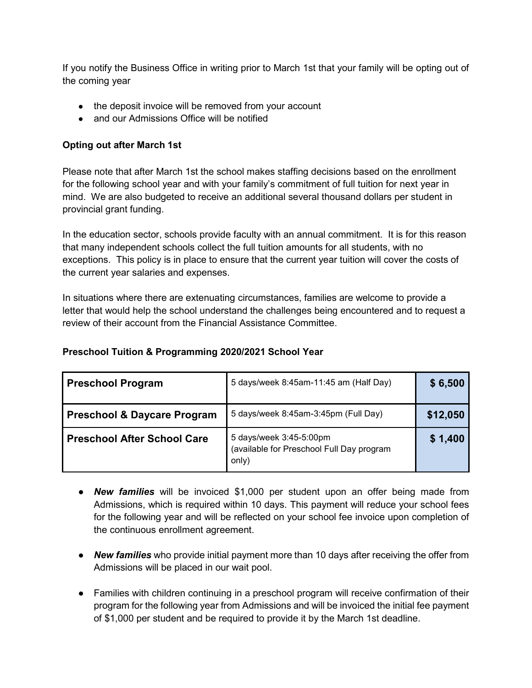If you notify the Business Office in writing prior to March 1st that your family will be opting out of the coming year

- the deposit invoice will be removed from your account
- and our Admissions Office will be notified

### **Opting out after March 1st**

Please note that after March 1st the school makes staffing decisions based on the enrollment for the following school year and with your family's commitment of full tuition for next year in mind. We are also budgeted to receive an additional several thousand dollars per student in provincial grant funding.

In the education sector, schools provide faculty with an annual commitment. It is for this reason that many independent schools collect the full tuition amounts for all students, with no exceptions. This policy is in place to ensure that the current year tuition will cover the costs of the current year salaries and expenses.

In situations where there are extenuating circumstances, families are welcome to provide a letter that would help the school understand the challenges being encountered and to request a review of their account from the Financial Assistance Committee.

#### **Preschool Tuition & Programming 2020/2021 School Year**

| <b>Preschool Program</b>               | 5 days/week 8:45am-11:45 am (Half Day)                                        | \$6,500  |
|----------------------------------------|-------------------------------------------------------------------------------|----------|
| <b>Preschool &amp; Daycare Program</b> | 5 days/week 8:45am-3:45pm (Full Day)                                          | \$12,050 |
| <b>Preschool After School Care</b>     | 5 days/week 3:45-5:00pm<br>(available for Preschool Full Day program<br>only) | \$1,400  |

- *New families* will be invoiced \$1,000 per student upon an offer being made from Admissions, which is required within 10 days. This payment will reduce your school fees for the following year and will be reflected on your school fee invoice upon completion of the continuous enrollment agreement.
- *New families* who provide initial payment more than 10 days after receiving the offer from Admissions will be placed in our wait pool.
- Families with children continuing in a preschool program will receive confirmation of their program for the following year from Admissions and will be invoiced the initial fee payment of \$1,000 per student and be required to provide it by the March 1st deadline.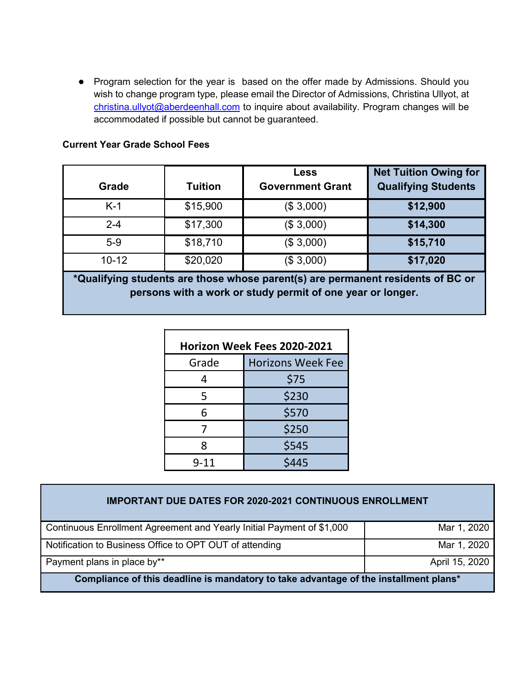● Program selection for the year is based on the offer made by Admissions. Should you wish to change program type, please email the Director of Admissions, Christina Ullyot, at [christina.ullyot@aberdeenhall.co](mailto:christina.kuhn@aberdeenhall.com)m to inquire about availability. Program changes will be accommodated if possible but cannot be guaranteed.

| Grade                                                                                                                                         | <b>Tuition</b> | <b>Less</b><br><b>Government Grant</b> | <b>Net Tuition Owing for</b><br><b>Qualifying Students</b> |
|-----------------------------------------------------------------------------------------------------------------------------------------------|----------------|----------------------------------------|------------------------------------------------------------|
| $K-1$                                                                                                                                         | \$15,900       | (\$3,000)                              | \$12,900                                                   |
| $2 - 4$                                                                                                                                       | \$17,300       | (\$3,000)                              | \$14,300                                                   |
| $5-9$                                                                                                                                         | \$18,710       | (\$3,000)                              | \$15,710                                                   |
| $10 - 12$                                                                                                                                     | \$20,020       | (\$3,000)                              | \$17,020                                                   |
| *Qualifying students are those whose parent(s) are permanent residents of BC or<br>persons with a work or study permit of one year or longer. |                |                                        |                                                            |

| Horizon Week Fees 2020-2021 |                          |  |
|-----------------------------|--------------------------|--|
| Grade                       | <b>Horizons Week Fee</b> |  |
| 4                           | \$75                     |  |
| 5                           | \$230                    |  |
| 6                           | \$570                    |  |
|                             | \$250                    |  |
| Ջ                           | \$545                    |  |
| 9-11                        | \$445                    |  |

| <b>IMPORTANT DUE DATES FOR 2020-2021 CONTINUOUS ENROLLMENT</b>                       |                |  |  |
|--------------------------------------------------------------------------------------|----------------|--|--|
| Continuous Enrollment Agreement and Yearly Initial Payment of \$1,000                | Mar 1, 2020    |  |  |
| Notification to Business Office to OPT OUT of attending                              | Mar 1, 2020    |  |  |
| Payment plans in place by**                                                          | April 15, 2020 |  |  |
| Compliance of this deadline is mandatory to take advantage of the installment plans* |                |  |  |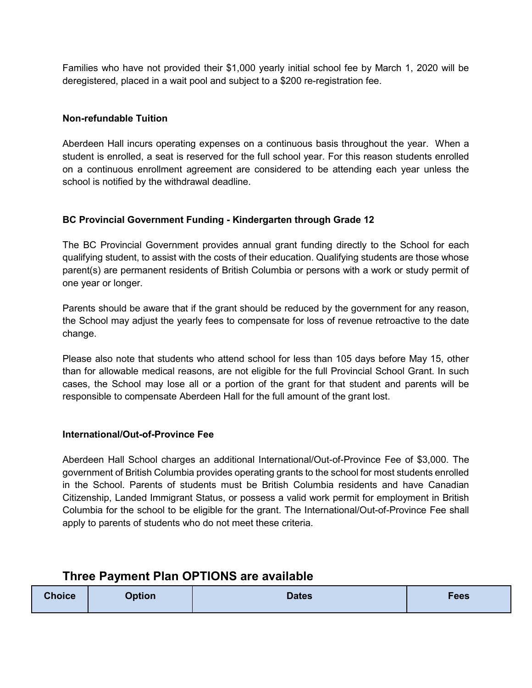Families who have not provided their \$1,000 yearly initial school fee by March 1, 2020 will be deregistered, placed in a wait pool and subject to a \$200 re-registration fee.

### **Non-refundable Tuition**

Aberdeen Hall incurs operating expenses on a continuous basis throughout the year. When a student is enrolled, a seat is reserved for the full school year. For this reason students enrolled on a continuous enrollment agreement are considered to be attending each year unless the school is notified by the withdrawal deadline.

#### **BC Provincial Government Funding - Kindergarten through Grade 12**

The BC Provincial Government provides annual grant funding directly to the School for each qualifying student, to assist with the costs of their education. Qualifying students are those whose parent(s) are permanent residents of British Columbia or persons with a work or study permit of one year or longer.

Parents should be aware that if the grant should be reduced by the government for any reason, the School may adjust the yearly fees to compensate for loss of revenue retroactive to the date change.

Please also note that students who attend school for less than 105 days before May 15, other than for allowable medical reasons, are not eligible for the full Provincial School Grant. In such cases, the School may lose all or a portion of the grant for that student and parents will be responsible to compensate Aberdeen Hall for the full amount of the grant lost.

#### **International/Out-of-Province Fee**

Aberdeen Hall School charges an additional International/Out-of-Province Fee of \$3,000. The government of British Columbia provides operating grants to the school for most students enrolled in the School. Parents of students must be British Columbia residents and have Canadian Citizenship, Landed Immigrant Status, or possess a valid work permit for employment in British Columbia for the school to be eligible for the grant. The International/Out-of-Province Fee shall apply to parents of students who do not meet these criteria.

## **Three Payment Plan OPTIONS are available**

| <b>Choice</b> | <b>Option</b> | Dates | <b>Fees</b> |
|---------------|---------------|-------|-------------|
|               |               |       |             |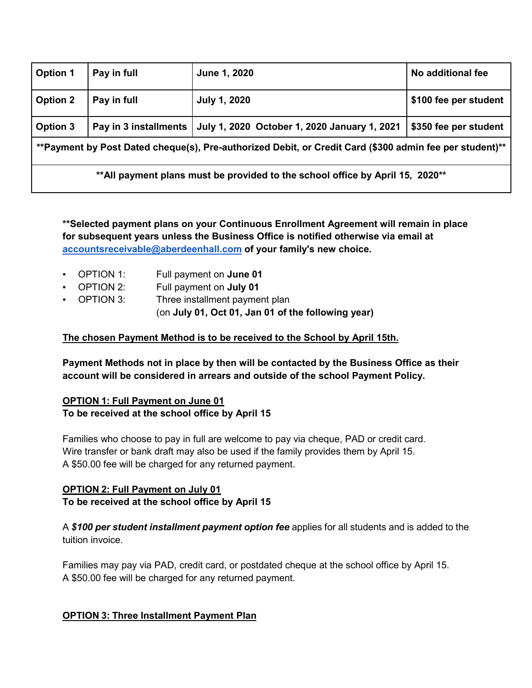| <b>Option 1</b>                                                                                         | Pay in full           | June 1, 2020                                 | No additional fee     |
|---------------------------------------------------------------------------------------------------------|-----------------------|----------------------------------------------|-----------------------|
| <b>Option 2</b>                                                                                         | Pay in full           | <b>July 1, 2020</b>                          | \$100 fee per student |
| <b>Option 3</b>                                                                                         | Pay in 3 installments | July 1, 2020 October 1, 2020 January 1, 2021 | \$350 fee per student |
| **Payment by Post Dated cheque(s), Pre-authorized Debit, or Credit Card (\$300 admin fee per student)** |                       |                                              |                       |
| **All payment plans must be provided to the school office by April 15, 2020**                           |                       |                                              |                       |

**\*\*Selected payment plans on your Continuous Enrollment Agreement will remain in place for subsequent years unless the Business Office is notified otherwise via email at [accountsreceivable@aberdeenhall.com](mailto:accountsreceivable@aberdeenhall.com) of your family's new choice.**

- OPTION 1: Full payment on **June 01**
- OPTION 2: Full payment on **July 01**
- OPTION 3: Three installment payment plan (on **July 01, Oct 01, Jan 01 of the following year)**

## **The chosen Payment Method is to be received to the School by April 15th.**

**Payment Methods not in place by then will be contacted by the Business Office as their account will be considered in arrears and outside of the school Payment Policy.**

## **OPTION 1: Full Payment on June 01 To be received at the school office by April 15**

Families who choose to pay in full are welcome to pay via cheque, PAD or credit card. Wire transfer or bank draft may also be used if the family provides them by April 15. A \$50.00 fee will be charged for any returned payment.

## **OPTION 2: Full Payment on July 01 To be received at the school office by April 15**

A *\$100 per student installment payment option fee* applies for all students and is added to the tuition invoice.

Families may pay via PAD, credit card, or postdated cheque at the school office by April 15. A \$50.00 fee will be charged for any returned payment.

## **OPTION 3: Three Installment Payment Plan**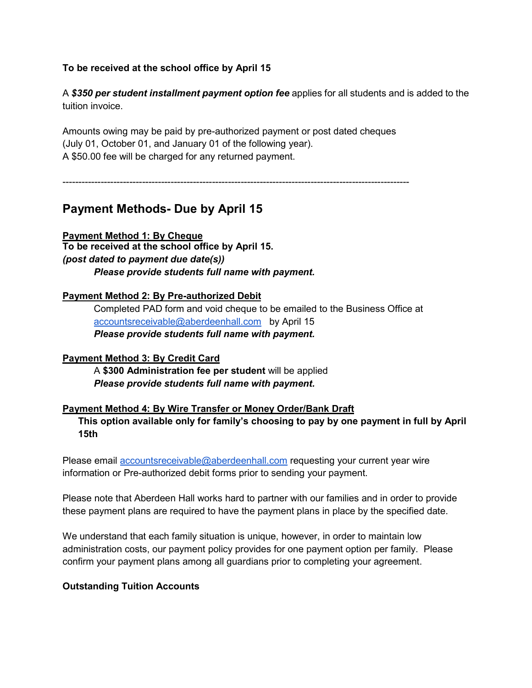## **To be received at the school office by April 15**

A *\$350 per student installment payment option fee* applies for all students and is added to the tuition invoice.

Amounts owing may be paid by pre-authorized payment or post dated cheques (July 01, October 01, and January 01 of the following year). A \$50.00 fee will be charged for any returned payment.

-------------------------------------------------------------------------------------------------------------

# **Payment Methods- Due by April 15**

**Payment Method 1: By Cheque To be received at the school office by April 15.**  *(post dated to payment due date(s)) Please provide students full name with payment.*

## **Payment Method 2: By Pre-authorized Debit**

Completed PAD form and void cheque to be emailed to the Business Office at [accountsreceivable@aberdeenhall.com](mailto:accountsreceivable@aberdeenhall.com) by April 15 *Please provide students full name with payment.*

#### **Payment Method 3: By Credit Card**

A **\$300 Administration fee per student** will be applied *Please provide students full name with payment.*

#### **Payment Method 4: By Wire Transfer or Money Order/Bank Draft**

**This option available only for family's choosing to pay by one payment in full by April 15th**

Please email [accountsreceivable@aberdeenhall.com](mailto:accountsreceivable@aberdeenhall.com) requesting your current year wire information or Pre-authorized debit forms prior to sending your payment.

Please note that Aberdeen Hall works hard to partner with our families and in order to provide these payment plans are required to have the payment plans in place by the specified date.

We understand that each family situation is unique, however, in order to maintain low administration costs, our payment policy provides for one payment option per family. Please confirm your payment plans among all guardians prior to completing your agreement.

#### **Outstanding Tuition Accounts**